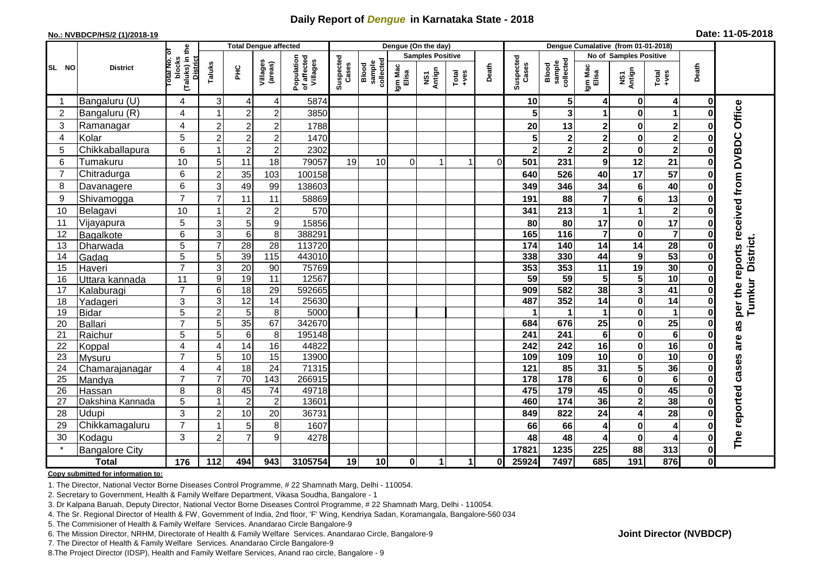# **Daily Report of** *Dengue* **in Karnataka State - 2018**

### **No.: NVBDCP/HS/2 (1)/2018-19 Date: 11-05-2018**

|                | <b>District</b>                 |                                                   |                     |                  | <b>Total Dengue affected</b> |                                       |                    |                              |                         | Dengue (On the day) |                                                                      |          |                         |                              |                        |                         |                         |                         |                                     |
|----------------|---------------------------------|---------------------------------------------------|---------------------|------------------|------------------------------|---------------------------------------|--------------------|------------------------------|-------------------------|---------------------|----------------------------------------------------------------------|----------|-------------------------|------------------------------|------------------------|-------------------------|-------------------------|-------------------------|-------------------------------------|
| SL NO          |                                 |                                                   |                     |                  |                              |                                       |                    |                              | <b>Samples Positive</b> |                     |                                                                      |          |                         |                              | No of Samples Positive |                         |                         |                         |                                     |
|                |                                 | (Taluks) in the<br>District<br>blocks<br>otal No. | Taluks              | Ξ                | Villages<br>(areas)          | Population<br>of affected<br>Villages | Suspected<br>Cases | Blood<br>sample<br>collected | Igm Mac<br>Elisa        | NS1<br>Antign       | $\begin{array}{c}\n\text{Total} \\ \text{1} & \text{1}\n\end{array}$ | Death    | Suspected<br>Cases      | collected<br>sample<br>Blood | Igm Mac<br>Elisa       | NS1<br>Antign           | Total<br>+ves           | Death                   |                                     |
|                | Bangaluru (U)                   | 4                                                 | $\sqrt{3}$          | 4                | 4                            | 5874                                  |                    |                              |                         |                     |                                                                      |          | 10                      | 5                            |                        | $\mathbf 0$             | 4                       | 0                       |                                     |
| 2              | Bangaluru (R)                   | $\overline{4}$                                    | 1                   | $\overline{2}$   | $\overline{c}$               | 3850                                  |                    |                              |                         |                     |                                                                      |          | 5                       | 3                            |                        | $\bf{0}$                | $\mathbf{1}$            | $\bf{0}$                |                                     |
| 3              | Ramanagar                       | 4                                                 | $\overline{c}$      | $\boldsymbol{2}$ | $\boldsymbol{2}$             | 1788                                  |                    |                              |                         |                     |                                                                      |          | 20                      | 13                           | 2                      | 0                       | $\mathbf 2$             | 0                       | Office                              |
| 4              | Kolar                           | 5                                                 | $\overline{c}$      | $\overline{c}$   | $\overline{c}$               | 1470                                  |                    |                              |                         |                     |                                                                      |          | 5                       |                              | $\mathbf{2}$           | $\mathbf 0$             | $\overline{\mathbf{c}}$ | 0                       |                                     |
| 5              | Chikkaballapura                 | $6\phantom{1}$                                    | $\mathbf 1$         | $\overline{c}$   | $\mathbf 2$                  | 2302                                  |                    |                              |                         |                     |                                                                      |          | $\mathbf 2$             | 2                            | 2                      | 0                       | $\overline{\mathbf{c}}$ | 0                       |                                     |
| 6              | Tumakuru                        | 10                                                | 5                   | 11               | 18                           | 79057                                 | 19                 | 10                           | $\Omega$                |                     | -1                                                                   | $\Omega$ | 501                     | 231                          | 9                      | 12                      | 21                      | 0                       |                                     |
| $\overline{7}$ | Chitradurga                     | $6\phantom{1}$                                    | $\overline{2}$      | 35               | 103                          | 100158                                |                    |                              |                         |                     |                                                                      |          | 640                     | 526                          | 40                     | 17                      | 57                      | $\bf{0}$                |                                     |
| 8              | Davanagere                      | $6\phantom{1}$                                    | 3                   | 49               | 99                           | 138603                                |                    |                              |                         |                     |                                                                      |          | 349                     | 346                          | 34                     | 6                       | 40                      | $\bf{0}$                |                                     |
| 9              | Shivamogga                      | $\overline{7}$                                    | $\overline{7}$      | 11               | 11                           | 58869                                 |                    |                              |                         |                     |                                                                      |          | 191                     | 88                           | $\overline{7}$         | 6                       | 13                      | 0                       |                                     |
| 10             | Belagavi                        | 10                                                | -1                  | $\overline{c}$   | $\mathbf 2$                  | 570                                   |                    |                              |                         |                     |                                                                      |          | 341                     | 213                          |                        | 1                       | $\overline{2}$          | 0                       | per the reports received from DVBDC |
| 11             | Vijayapura                      | 5                                                 | 3                   | $\mathbf 5$      | $\boldsymbol{9}$             | 15856                                 |                    |                              |                         |                     |                                                                      |          | 80                      | 80                           | 17                     | $\pmb{0}$               | 17                      | 0                       |                                     |
| 12             | Bagalkote                       | $6\phantom{1}$                                    | $\overline{3}$      | $\overline{6}$   | 8                            | 388291                                |                    |                              |                         |                     |                                                                      |          | 165                     | $\overline{116}$             | 7                      | $\mathbf 0$             | $\overline{\mathbf{7}}$ | $\bf{0}$                |                                     |
| 13             | Dharwada                        | 5                                                 | $\overline{7}$      | 28               | $\overline{28}$              | 113720                                |                    |                              |                         |                     |                                                                      |          | $\frac{1}{174}$         | 140                          | 14                     | 14                      | 28                      | 0                       | <b>District</b>                     |
| 14             | Gadag                           | 5                                                 | 5                   | 39               | 115                          | 443010                                |                    |                              |                         |                     |                                                                      |          | 338                     | 330                          | 44                     | $\boldsymbol{9}$        | 53                      | $\bf{0}$                |                                     |
| 15             | Haveri                          | $\overline{7}$                                    | 3                   | $\overline{20}$  | 90                           | 75769                                 |                    |                              |                         |                     |                                                                      |          | 353                     | 353                          | 11                     | 19                      | 30                      | $\bf{0}$                |                                     |
| 16             | Uttara kannada                  | 11                                                | 9                   | $\overline{19}$  | 11                           | 12567                                 |                    |                              |                         |                     |                                                                      |          | 59                      | 59                           | 5                      | 5                       | $\overline{10}$         | $\bf{0}$                |                                     |
| 17             | Kalaburagi                      | $\overline{7}$                                    | 6                   | $\overline{18}$  | $\overline{29}$              | 592665                                |                    |                              |                         |                     |                                                                      |          | 909                     | 582                          | 38                     | $\overline{\mathbf{3}}$ | 41                      | 0                       | Tumkur                              |
| 18             | Yadageri                        | 3                                                 | 3                   | $\overline{12}$  | 14                           | 25630                                 |                    |                              |                         |                     |                                                                      |          | 487                     | 352                          | 14                     | $\mathbf 0$             | 14                      | 0                       |                                     |
| 19             | <b>Bidar</b>                    | $\overline{5}$                                    | $\overline{2}$      | $\overline{5}$   | 8                            | 5000                                  |                    |                              |                         |                     |                                                                      |          |                         |                              |                        | $\mathbf 0$             | $\mathbf{1}$            | 0                       |                                     |
| 20             | Ballari                         | $\overline{7}$                                    | 5                   | $\overline{35}$  | 67                           | 342670                                |                    |                              |                         |                     |                                                                      |          | 684                     | 676                          | 25                     | 0                       | $\overline{25}$         | $\Omega$                | as                                  |
| 21             | Raichur                         | 5<br>4                                            | 5<br>$\overline{4}$ | $\overline{6}$   | 8                            | 195148<br>44822                       |                    |                              |                         |                     |                                                                      |          | $\overline{241}$<br>242 | $\overline{241}$             | 6                      | $\mathbf 0$             | $\overline{6}$<br>16    | $\bf{0}$<br>$\mathbf 0$ | are                                 |
| 22<br>23       | Koppal                          | $\overline{7}$                                    | 5                   | 14<br>10         | 16<br>15                     | 13900                                 |                    |                              |                         |                     |                                                                      |          | 109                     | 242<br>109                   | 16<br>10               | 0<br>$\pmb{0}$          | $\overline{10}$         | 0                       |                                     |
| 24             | <b>Mysuru</b><br>Chamarajanagar | $\overline{4}$                                    | $\overline{4}$      | $\overline{18}$  | $\overline{24}$              | 71315                                 |                    |                              |                         |                     |                                                                      |          | 121                     | 85                           | 31                     | 5                       | 36                      | $\bf{0}$                |                                     |
| 25             | Mandya                          | $\overline{7}$                                    | 7                   | $\overline{70}$  | $\overline{143}$             | 266915                                |                    |                              |                         |                     |                                                                      |          | 178                     | $\frac{1}{178}$              | $\bf 6$                | $\mathbf 0$             | 6                       | $\mathbf 0$             |                                     |
| 26             | Hassan                          | 8                                                 | 8                   | 45               | 74                           | 49718                                 |                    |                              |                         |                     |                                                                      |          | 475                     | 179                          | 45                     | 0                       | 45                      | 0                       |                                     |
| 27             | Dakshina Kannada                | 5                                                 | 1                   | $\overline{2}$   | $\overline{c}$               | 13601                                 |                    |                              |                         |                     |                                                                      |          | 460                     | $\frac{1}{174}$              | $\overline{36}$        | $\overline{2}$          | 38                      | $\mathbf 0$             |                                     |
| 28             | Udupi                           | 3                                                 | $\overline{c}$      | 10               | 20                           | 36731                                 |                    |                              |                         |                     |                                                                      |          | 849                     | 822                          | 24                     | 4                       | 28                      | 0                       |                                     |
| 29             | Chikkamagaluru                  | $\overline{7}$                                    | 1                   | 5                | 8                            | 1607                                  |                    |                              |                         |                     |                                                                      |          | 66                      | 66                           | 4                      | $\pmb{0}$               | 4                       | $\mathbf 0$             |                                     |
| 30             | Kodagu                          | 3                                                 | $\overline{2}$      | $\overline{7}$   | 9                            | 4278                                  |                    |                              |                         |                     |                                                                      |          | 48                      | 48                           | 4                      | 0                       | 4                       | 0                       | The reported cases                  |
|                | <b>Bangalore City</b>           |                                                   |                     |                  |                              |                                       |                    |                              |                         |                     |                                                                      |          | 17821                   | 1235                         | 225                    | 88                      | 313                     | $\bf{0}$                |                                     |
| <b>Total</b>   |                                 | 176                                               | 112                 | 494              | 943                          | 3105754                               | 19                 | 10                           | $\mathbf{0}$            | 1                   | $\mathbf{1}$                                                         | 0        | 25924                   | 7497                         | 685                    | 191                     | 876                     | $\bf{0}$                |                                     |

#### **Copy submitted for information to:**

1. The Director, National Vector Borne Diseases Control Programme, # 22 Shamnath Marg, Delhi - 110054.

2. Secretary to Government, Health & Family Welfare Department, Vikasa Soudha, Bangalore - 1

3. Dr Kalpana Baruah, Deputy Director, National Vector Borne Diseases Control Programme, # 22 Shamnath Marg, Delhi - 110054.

4. The Sr. Regional Director of Health & FW, Government of India, 2nd floor, 'F' Wing, Kendriya Sadan, Koramangala, Bangalore-560 034

5. The Commisioner of Health & Family Welfare Services. Anandarao Circle Bangalore-9

6. The Mission Director, NRHM, Directorate of Health & Family Welfare Services. Anandarao Circle, Bangalore-9

7. The Director of Health & Family Welfare Services. Anandarao Circle Bangalore-9

8.The Project Director (IDSP), Health and Family Welfare Services, Anand rao circle, Bangalore - 9